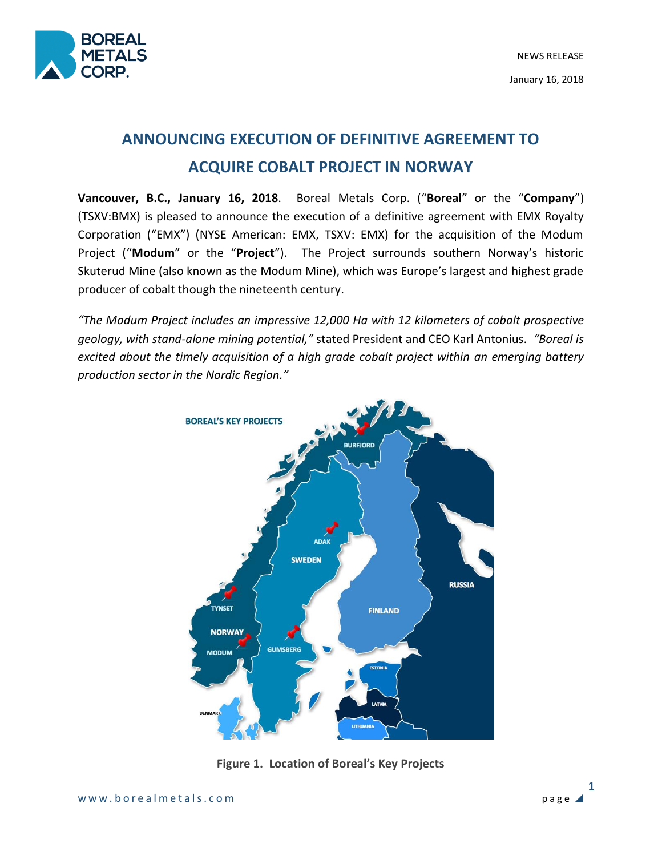

# **ANNOUNCING EXECUTION OF DEFINITIVE AGREEMENT TO ACQUIRE COBALT PROJECT IN NORWAY**

**Vancouver, B.C., January 16, 2018**. Boreal Metals Corp. ("**Boreal**" or the "**Company**") (TSXV:BMX) is pleased to announce the execution of a definitive agreement with EMX Royalty Corporation ("EMX") (NYSE American: EMX, TSXV: EMX) for the acquisition of the Modum Project ("**Modum**" or the "**Project**"). The Project surrounds southern Norway's historic Skuterud Mine (also known as the Modum Mine), which was Europe's largest and highest grade producer of cobalt though the nineteenth century.

*"The Modum Project includes an impressive 12,000 Ha with 12 kilometers of cobalt prospective geology, with stand-alone mining potential,"* stated President and CEO Karl Antonius. *"Boreal is excited about the timely acquisition of a high grade cobalt project within an emerging battery production sector in the Nordic Region."*



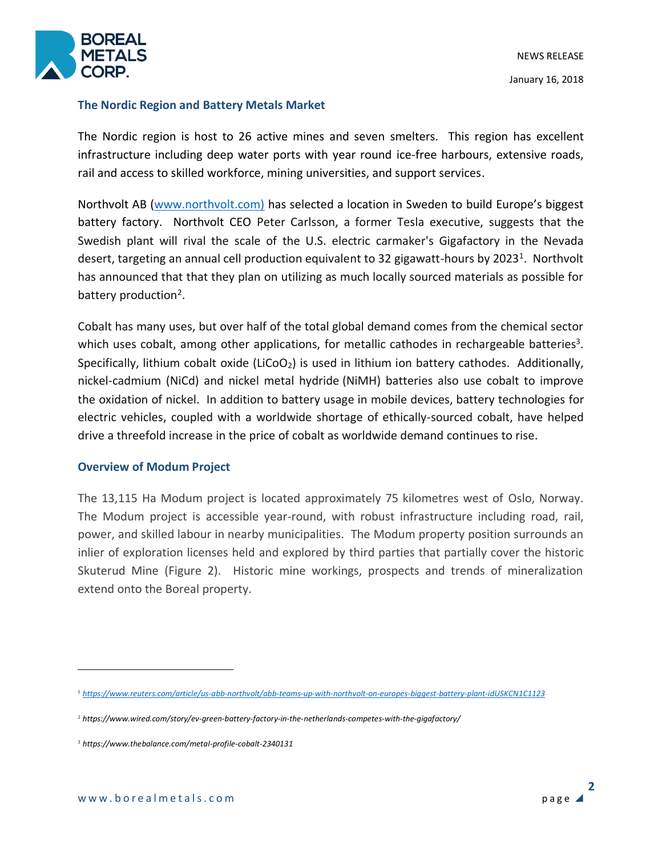

#### **The Nordic Region and Battery Metals Market**

The Nordic region is host to 26 active mines and seven smelters. This region has excellent infrastructure including deep water ports with year round ice-free harbours, extensive roads, rail and access to skilled workforce, mining universities, and support services.

Northvolt AB [\(www.northvolt.com\)](http://www.northvolt.com)/) has selected a location in Sweden to build Europe's biggest battery factory. Northvolt CEO Peter Carlsson, a former Tesla executive, suggests that the Swedish plant will rival the scale of the U.S. electric carmaker's Gigafactory in the Nevada desert, targeting an annual cell production equivalent to 32 gigawatt-hours by 2023<sup>1</sup>. Northvolt has announced that that they plan on utilizing as much locally sourced materials as possible for battery production<sup>2</sup>.

Cobalt has many uses, but over half of the total global demand comes from the chemical sector which uses cobalt, among other applications, for metallic cathodes in rechargeable batteries<sup>3</sup>. Specifically, lithium cobalt oxide (LiCoO<sub>2</sub>) is used in lithium ion battery cathodes. Additionally, nickel-cadmium (NiCd) and nickel metal hydride (NiMH) batteries also use cobalt to improve the oxidation of nickel. In addition to battery usage in mobile devices, battery technologies for electric vehicles, coupled with a worldwide shortage of ethically-sourced cobalt, have helped drive a threefold increase in the price of cobalt as worldwide demand continues to rise.

## **Overview of Modum Project**

The 13,115 Ha Modum project is located approximately 75 kilometres west of Oslo, Norway. The Modum project is accessible year-round, with robust infrastructure including road, rail, power, and skilled labour in nearby municipalities. The Modum property position surrounds an inlier of exploration licenses held and explored by third parties that partially cover the historic Skuterud Mine (Figure 2). Historic mine workings, prospects and trends of mineralization extend onto the Boreal property.

 $\overline{a}$ 

<sup>1</sup> *<https://www.reuters.com/article/us-abb-northvolt/abb-teams-up-with-northvolt-on-europes-biggest-battery-plant-idUSKCN1C1123>*

<sup>2</sup> *https://www.wired.com/story/ev-green-battery-factory-in-the-netherlands-competes-with-the-gigafactory/*

<sup>3</sup> *https://www.thebalance.com/metal-profile-cobalt-2340131*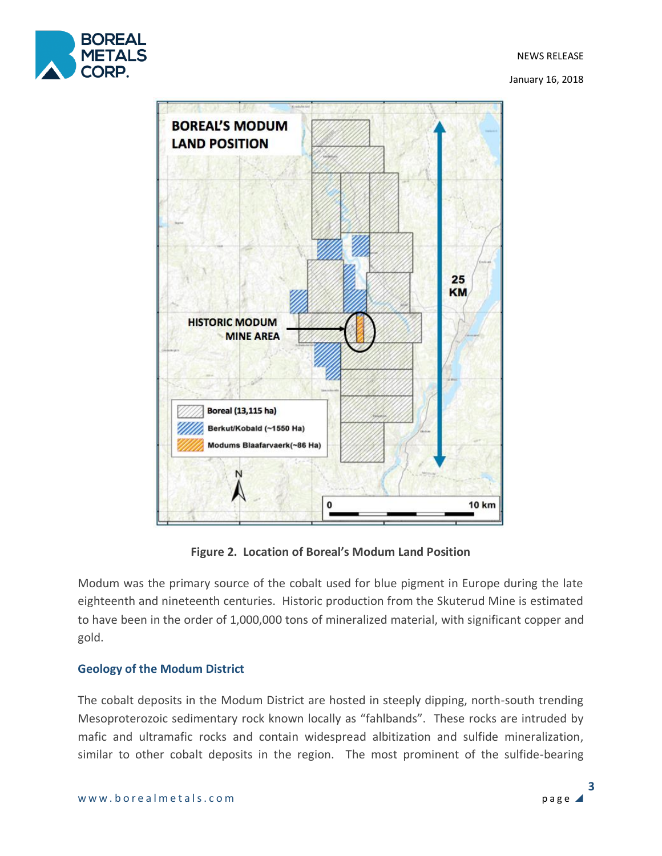

January 16, 2018



**Figure 2. Location of Boreal's Modum Land Position**

Modum was the primary source of the cobalt used for blue pigment in Europe during the late eighteenth and nineteenth centuries. Historic production from the Skuterud Mine is estimated to have been in the order of 1,000,000 tons of mineralized material, with significant copper and gold.

## **Geology of the Modum District**

The cobalt deposits in the Modum District are hosted in steeply dipping, north-south trending Mesoproterozoic sedimentary rock known locally as "fahlbands". These rocks are intruded by mafic and ultramafic rocks and contain widespread albitization and sulfide mineralization, similar to other cobalt deposits in the region. The most prominent of the sulfide-bearing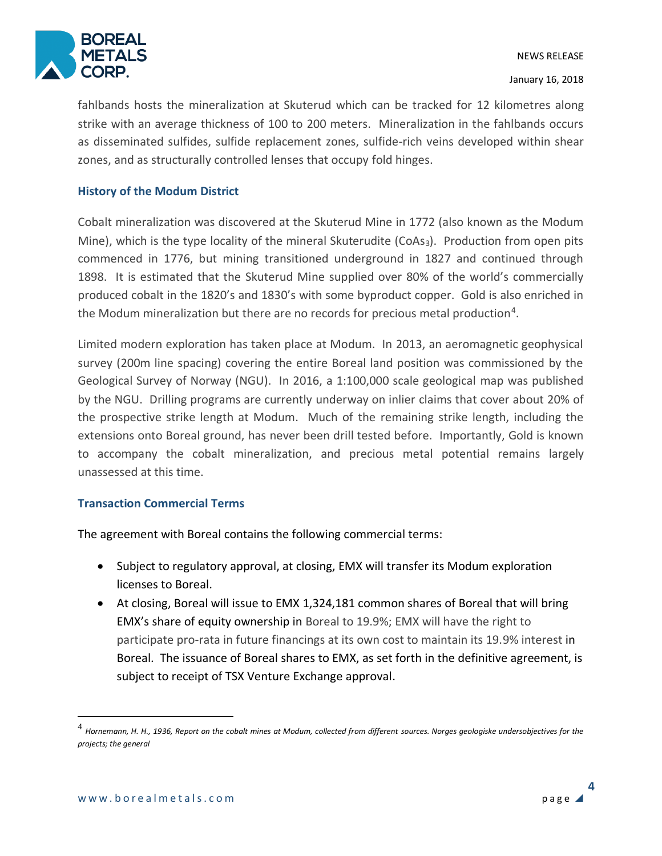

fahlbands hosts the mineralization at Skuterud which can be tracked for 12 kilometres along strike with an average thickness of 100 to 200 meters. Mineralization in the fahlbands occurs as disseminated sulfides, sulfide replacement zones, sulfide-rich veins developed within shear zones, and as structurally controlled lenses that occupy fold hinges.

#### **History of the Modum District**

Cobalt mineralization was discovered at the Skuterud Mine in 1772 (also known as the Modum Mine), which is the type locality of the mineral Skuterudite ( $CoAs<sub>3</sub>$ ). Production from open pits commenced in 1776, but mining transitioned underground in 1827 and continued through 1898. It is estimated that the Skuterud Mine supplied over 80% of the world's commercially produced cobalt in the 1820's and 1830's with some byproduct copper. Gold is also enriched in the Modum mineralization but there are no records for precious metal production<sup>4</sup>.

Limited modern exploration has taken place at Modum. In 2013, an aeromagnetic geophysical survey (200m line spacing) covering the entire Boreal land position was commissioned by the Geological Survey of Norway (NGU). In 2016, a 1:100,000 scale geological map was published by the NGU. Drilling programs are currently underway on inlier claims that cover about 20% of the prospective strike length at Modum. Much of the remaining strike length, including the extensions onto Boreal ground, has never been drill tested before. Importantly, Gold is known to accompany the cobalt mineralization, and precious metal potential remains largely unassessed at this time.

#### **Transaction Commercial Terms**

The agreement with Boreal contains the following commercial terms:

- Subject to regulatory approval, at closing, EMX will transfer its Modum exploration licenses to Boreal.
- At closing, Boreal will issue to EMX 1,324,181 common shares of Boreal that will bring EMX's share of equity ownership in Boreal to 19.9%; EMX will have the right to participate pro-rata in future financings at its own cost to maintain its 19.9% interest in Boreal. The issuance of Boreal shares to EMX, as set forth in the definitive agreement, is subject to receipt of TSX Venture Exchange approval.

 $\overline{a}$ 

<sup>&</sup>lt;sup>4</sup> Hornemann, H. H., 1936, Report on the cobalt mines at Modum, collected from different sources. Norges geologiske undersobjectives for the *projects; the general*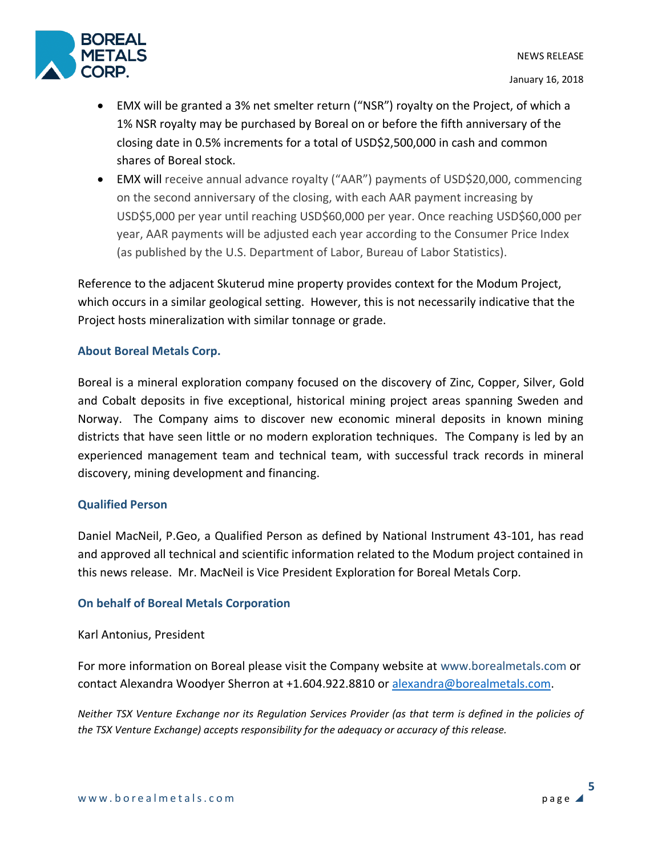January 16, 2018



- EMX will be granted a 3% net smelter return ("NSR") royalty on the Project, of which a 1% NSR royalty may be purchased by Boreal on or before the fifth anniversary of the closing date in 0.5% increments for a total of USD\$2,500,000 in cash and common shares of Boreal stock.
- EMX will receive annual advance royalty ("AAR") payments of USD\$20,000, commencing on the second anniversary of the closing, with each AAR payment increasing by USD\$5,000 per year until reaching USD\$60,000 per year. Once reaching USD\$60,000 per year, AAR payments will be adjusted each year according to the Consumer Price Index (as published by the U.S. Department of Labor, Bureau of Labor Statistics).

Reference to the adjacent Skuterud mine property provides context for the Modum Project, which occurs in a similar geological setting. However, this is not necessarily indicative that the Project hosts mineralization with similar tonnage or grade.

# **About Boreal Metals Corp.**

Boreal is a mineral exploration company focused on the discovery of Zinc, Copper, Silver, Gold and Cobalt deposits in five exceptional, historical mining project areas spanning Sweden and Norway. The Company aims to discover new economic mineral deposits in known mining districts that have seen little or no modern exploration techniques. The Company is led by an experienced management team and technical team, with successful track records in mineral discovery, mining development and financing.

## **Qualified Person**

Daniel MacNeil, P.Geo, a Qualified Person as defined by National Instrument 43-101, has read and approved all technical and scientific information related to the Modum project contained in this news release. Mr. MacNeil is Vice President Exploration for Boreal Metals Corp.

## **On behalf of Boreal Metals Corporation**

#### Karl Antonius, President

For more information on Boreal please visit the Company website at www.borealmetals.com or contact Alexandra Woodyer Sherron at +1.604.922.8810 or [alexandra@borealmetals.com.](mailto:alexandra@borealmetals.com)

*Neither TSX Venture Exchange nor its Regulation Services Provider (as that term is defined in the policies of the TSX Venture Exchange) accepts responsibility for the adequacy or accuracy of this release.*